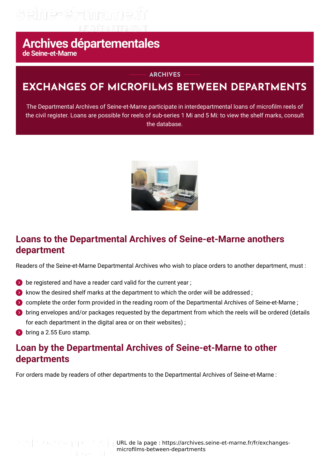## seine-et-mame

# Archives départementales

#### **ARCHIVES**

## **EXCHANGES OF MICROFILMS BETWEEN DEPARTMENTS**

The Departmental Archives of Seine-et-Marne participate in interdepartmental loans of microfilm reels of the civil register. Loans are possible for reels of sub-series 1 Mi and 5 Mi: to view the shelf marks, consult the database.



### **Loans to the Departmental Archives of Seine-et-Marne anothers department**

Readers of the Seine-et-Marne Departmental Archives who wish to place orders to another department, must :

- $\bullet$  be registered and have a reader card valid for the current year :
- **E** know the desired shelf marks at the department to which the order will be addressed;
- **Complete the order form provided in the reading room of the Departmental Archives of Seine-et-Marne :**
- bring envelopes and/or packages requested by the department from which the reels will be ordered (details for each department in the digital area or on their websites) :
- **bring a 2.55 Euro stamp.**

#### **Loan by the Departmental Archives of Seine-et-Marne to other departments**

For orders made by readers of other departments to the Departmental Archives of Seine-et-Marne :